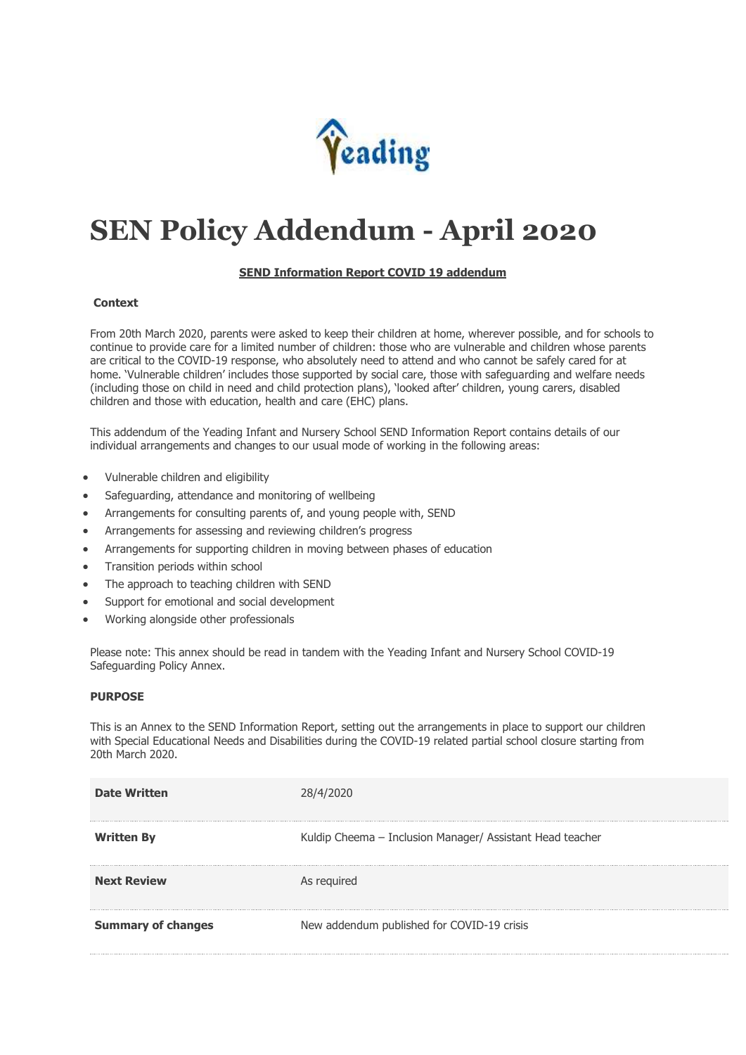

# **SEN Policy Addendum - April 2020**

## **SEND Information Report COVID 19 addendum**

## **Context**

From 20th March 2020, parents were asked to keep their children at home, wherever possible, and for schools to continue to provide care for a limited number of children: those who are vulnerable and children whose parents are critical to the COVID-19 response, who absolutely need to attend and who cannot be safely cared for at home. 'Vulnerable children' includes those supported by social care, those with safeguarding and welfare needs (including those on child in need and child protection plans), 'looked after' children, young carers, disabled children and those with education, health and care (EHC) plans.

This addendum of the Yeading Infant and Nursery School SEND Information Report contains details of our individual arrangements and changes to our usual mode of working in the following areas:

- Vulnerable children and eligibility
- Safeguarding, attendance and monitoring of wellbeing
- Arrangements for consulting parents of, and young people with, SEND
- Arrangements for assessing and reviewing children's progress
- Arrangements for supporting children in moving between phases of education
- Transition periods within school
- The approach to teaching children with SEND
- Support for emotional and social development
- Working alongside other professionals

Please note: This annex should be read in tandem with the Yeading Infant and Nursery School COVID-19 Safeguarding Policy Annex.

### **PURPOSE**

This is an Annex to the SEND Information Report, setting out the arrangements in place to support our children with Special Educational Needs and Disabilities during the COVID-19 related partial school closure starting from 20th March 2020.

| <b>Date Written</b>       |                                                           |
|---------------------------|-----------------------------------------------------------|
| <b>Written By</b>         | Kuldip Cheema - Inclusion Manager/ Assistant Head teacher |
| <b>Next Review</b>        | As required                                               |
| <b>Summary of changes</b> | New addendum published for COVID-19 crisis                |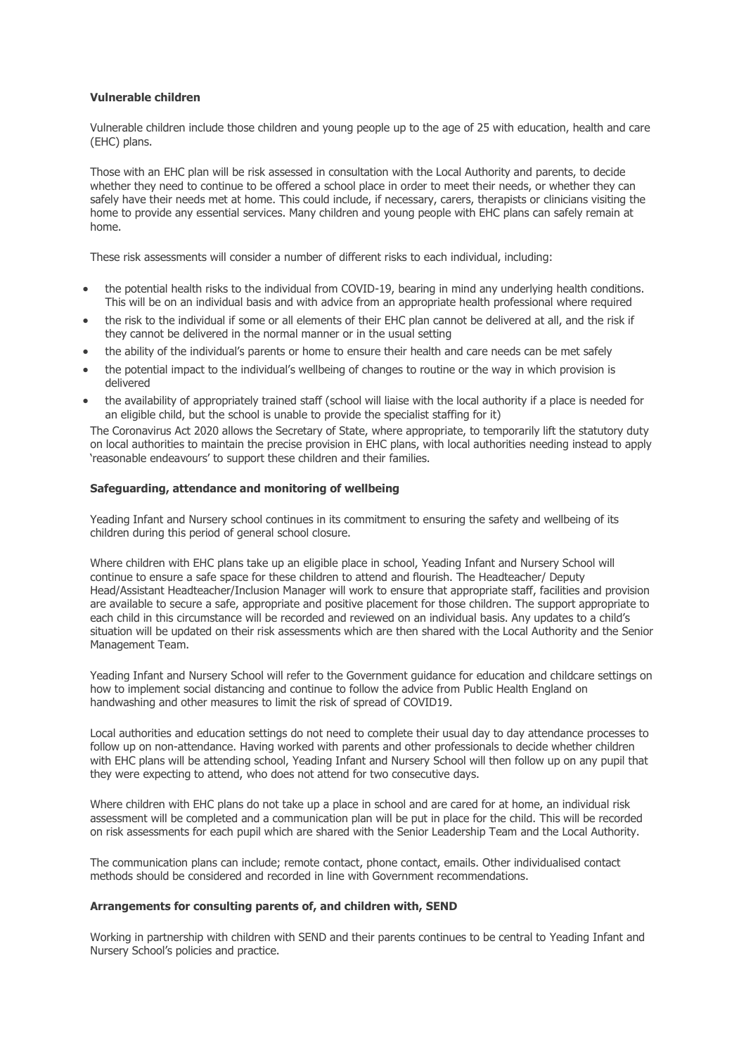## **Vulnerable children**

Vulnerable children include those children and young people up to the age of 25 with education, health and care (EHC) plans.

Those with an EHC plan will be risk assessed in consultation with the Local Authority and parents, to decide whether they need to continue to be offered a school place in order to meet their needs, or whether they can safely have their needs met at home. This could include, if necessary, carers, therapists or clinicians visiting the home to provide any essential services. Many children and young people with EHC plans can safely remain at home.

These risk assessments will consider a number of different risks to each individual, including:

- the potential health risks to the individual from COVID-19, bearing in mind any underlying health conditions. This will be on an individual basis and with advice from an appropriate health professional where required
- the risk to the individual if some or all elements of their EHC plan cannot be delivered at all, and the risk if they cannot be delivered in the normal manner or in the usual setting
- the ability of the individual's parents or home to ensure their health and care needs can be met safely
- the potential impact to the individual's wellbeing of changes to routine or the way in which provision is delivered
- the availability of appropriately trained staff (school will liaise with the local authority if a place is needed for an eligible child, but the school is unable to provide the specialist staffing for it)

The Coronavirus Act 2020 allows the Secretary of State, where appropriate, to temporarily lift the statutory duty on local authorities to maintain the precise provision in EHC plans, with local authorities needing instead to apply 'reasonable endeavours' to support these children and their families.

## **Safeguarding, attendance and monitoring of wellbeing**

Yeading Infant and Nursery school continues in its commitment to ensuring the safety and wellbeing of its children during this period of general school closure.

Where children with EHC plans take up an eligible place in school, Yeading Infant and Nursery School will continue to ensure a safe space for these children to attend and flourish. The Headteacher/ Deputy Head/Assistant Headteacher/Inclusion Manager will work to ensure that appropriate staff, facilities and provision are available to secure a safe, appropriate and positive placement for those children. The support appropriate to each child in this circumstance will be recorded and reviewed on an individual basis. Any updates to a child's situation will be updated on their risk assessments which are then shared with the Local Authority and the Senior Management Team.

Yeading Infant and Nursery School will refer to the Government guidance for education and childcare settings on how to implement social distancing and continue to follow the advice from Public Health England on handwashing and other measures to limit the risk of spread of COVID19.

Local authorities and education settings do not need to complete their usual day to day attendance processes to follow up on non-attendance. Having worked with parents and other professionals to decide whether children with EHC plans will be attending school, Yeading Infant and Nursery School will then follow up on any pupil that they were expecting to attend, who does not attend for two consecutive days.

Where children with EHC plans do not take up a place in school and are cared for at home, an individual risk assessment will be completed and a communication plan will be put in place for the child. This will be recorded on risk assessments for each pupil which are shared with the Senior Leadership Team and the Local Authority.

The communication plans can include; remote contact, phone contact, emails. Other individualised contact methods should be considered and recorded in line with Government recommendations.

#### **Arrangements for consulting parents of, and children with, SEND**

Working in partnership with children with SEND and their parents continues to be central to Yeading Infant and Nursery School's policies and practice.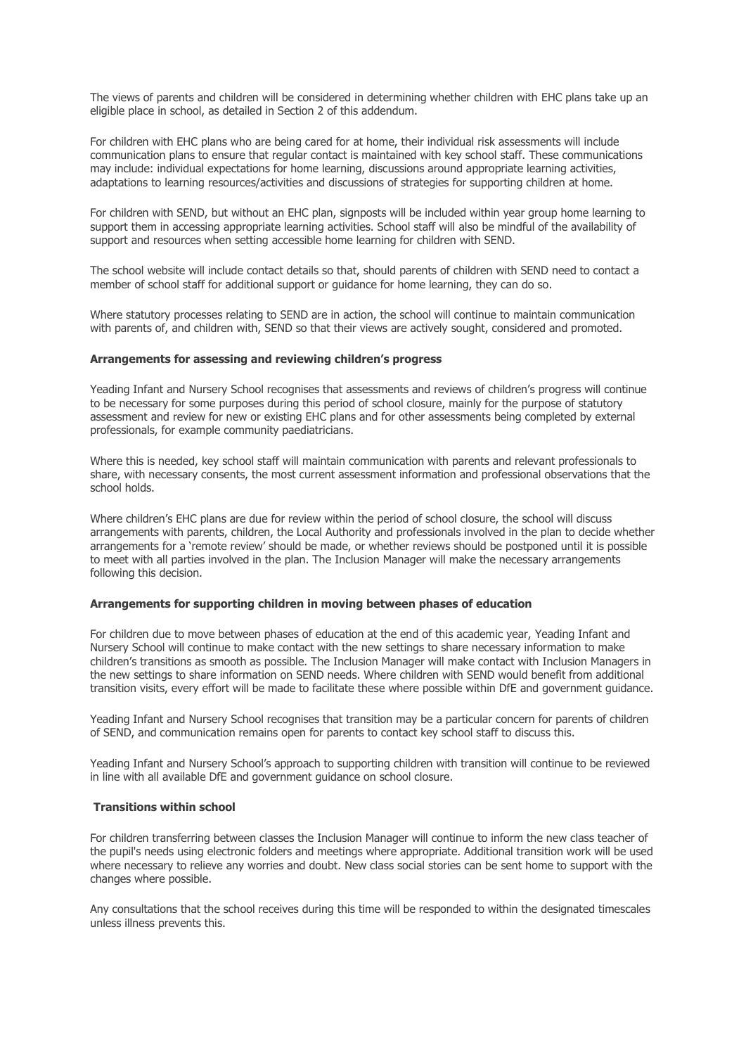The views of parents and children will be considered in determining whether children with EHC plans take up an eligible place in school, as detailed in Section 2 of this addendum.

For children with EHC plans who are being cared for at home, their individual risk assessments will include communication plans to ensure that regular contact is maintained with key school staff. These communications may include: individual expectations for home learning, discussions around appropriate learning activities, adaptations to learning resources/activities and discussions of strategies for supporting children at home.

For children with SEND, but without an EHC plan, signposts will be included within year group home learning to support them in accessing appropriate learning activities. School staff will also be mindful of the availability of support and resources when setting accessible home learning for children with SEND.

The school website will include contact details so that, should parents of children with SEND need to contact a member of school staff for additional support or guidance for home learning, they can do so.

Where statutory processes relating to SEND are in action, the school will continue to maintain communication with parents of, and children with, SEND so that their views are actively sought, considered and promoted.

#### **Arrangements for assessing and reviewing children's progress**

Yeading Infant and Nursery School recognises that assessments and reviews of children's progress will continue to be necessary for some purposes during this period of school closure, mainly for the purpose of statutory assessment and review for new or existing EHC plans and for other assessments being completed by external professionals, for example community paediatricians.

Where this is needed, key school staff will maintain communication with parents and relevant professionals to share, with necessary consents, the most current assessment information and professional observations that the school holds.

Where children's EHC plans are due for review within the period of school closure, the school will discuss arrangements with parents, children, the Local Authority and professionals involved in the plan to decide whether arrangements for a 'remote review' should be made, or whether reviews should be postponed until it is possible to meet with all parties involved in the plan. The Inclusion Manager will make the necessary arrangements following this decision.

#### **Arrangements for supporting children in moving between phases of education**

For children due to move between phases of education at the end of this academic year, Yeading Infant and Nursery School will continue to make contact with the new settings to share necessary information to make children's transitions as smooth as possible. The Inclusion Manager will make contact with Inclusion Managers in the new settings to share information on SEND needs. Where children with SEND would benefit from additional transition visits, every effort will be made to facilitate these where possible within DfE and government guidance.

Yeading Infant and Nursery School recognises that transition may be a particular concern for parents of children of SEND, and communication remains open for parents to contact key school staff to discuss this.

Yeading Infant and Nursery School's approach to supporting children with transition will continue to be reviewed in line with all available DfE and government guidance on school closure.

#### **Transitions within school**

For children transferring between classes the Inclusion Manager will continue to inform the new class teacher of the pupil's needs using electronic folders and meetings where appropriate. Additional transition work will be used where necessary to relieve any worries and doubt. New class social stories can be sent home to support with the changes where possible.

Any consultations that the school receives during this time will be responded to within the designated timescales unless illness prevents this.